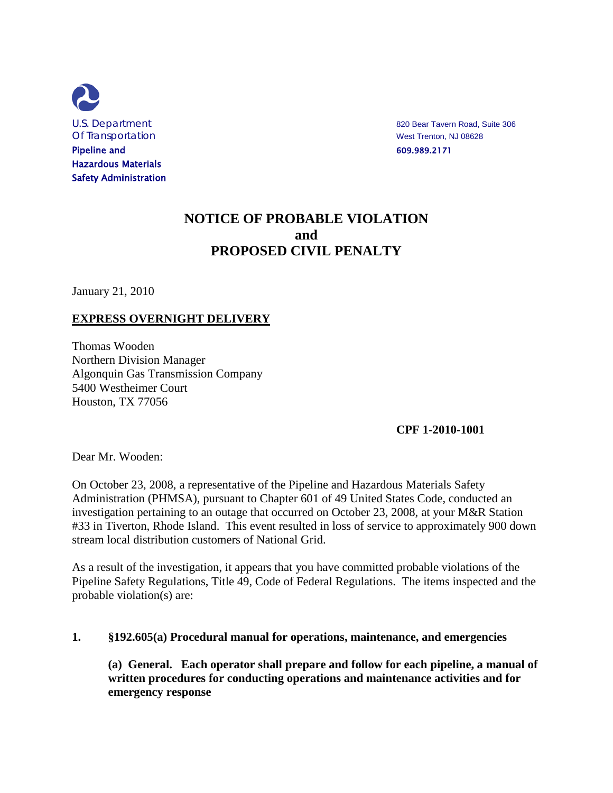

U.S. Department **820 Bear Tavern Road, Suite 306** 

# **NOTICE OF PROBABLE VIOLATION and PROPOSED CIVIL PENALTY**

January 21, 2010

### **EXPRESS OVERNIGHT DELIVERY**

Thomas Wooden Northern Division Manager Algonquin Gas Transmission Company 5400 Westheimer Court Houston, TX 77056

**CPF 1-2010-1001**

Dear Mr. Wooden:

On October 23, 2008, a representative of the Pipeline and Hazardous Materials Safety Administration (PHMSA), pursuant to Chapter 601 of 49 United States Code, conducted an investigation pertaining to an outage that occurred on October 23, 2008, at your M&R Station #33 in Tiverton, Rhode Island. This event resulted in loss of service to approximately 900 down stream local distribution customers of National Grid.

As a result of the investigation, it appears that you have committed probable violations of the Pipeline Safety Regulations, Title 49, Code of Federal Regulations. The items inspected and the probable violation(s) are:

#### **1. §192.605(a) Procedural manual for operations, maintenance, and emergencies**

**(a) General. Each operator shall prepare and follow for each pipeline, a manual of written procedures for conducting operations and maintenance activities and for emergency response**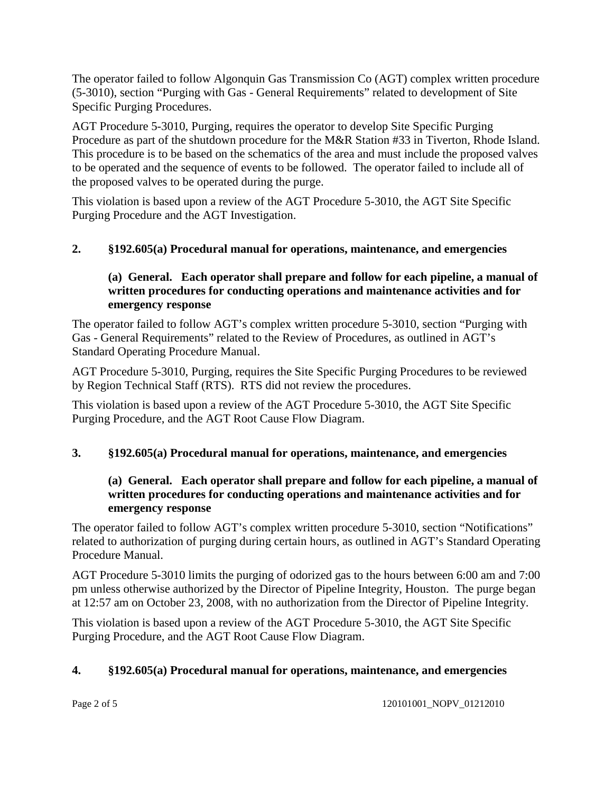The operator failed to follow Algonquin Gas Transmission Co (AGT) complex written procedure (5-3010), section "Purging with Gas - General Requirements" related to development of Site Specific Purging Procedures.

AGT Procedure 5-3010, Purging, requires the operator to develop Site Specific Purging Procedure as part of the shutdown procedure for the M&R Station #33 in Tiverton, Rhode Island. This procedure is to be based on the schematics of the area and must include the proposed valves to be operated and the sequence of events to be followed. The operator failed to include all of the proposed valves to be operated during the purge.

This violation is based upon a review of the AGT Procedure 5-3010, the AGT Site Specific Purging Procedure and the AGT Investigation.

# **2. §192.605(a) Procedural manual for operations, maintenance, and emergencies**

### **(a) General. Each operator shall prepare and follow for each pipeline, a manual of written procedures for conducting operations and maintenance activities and for emergency response**

The operator failed to follow AGT's complex written procedure 5-3010, section "Purging with Gas - General Requirements" related to the Review of Procedures, as outlined in AGT's Standard Operating Procedure Manual.

AGT Procedure 5-3010, Purging, requires the Site Specific Purging Procedures to be reviewed by Region Technical Staff (RTS). RTS did not review the procedures.

This violation is based upon a review of the AGT Procedure 5-3010, the AGT Site Specific Purging Procedure, and the AGT Root Cause Flow Diagram.

### **3. §192.605(a) Procedural manual for operations, maintenance, and emergencies**

### **(a) General. Each operator shall prepare and follow for each pipeline, a manual of written procedures for conducting operations and maintenance activities and for emergency response**

The operator failed to follow AGT's complex written procedure 5-3010, section "Notifications" related to authorization of purging during certain hours, as outlined in AGT's Standard Operating Procedure Manual.

AGT Procedure 5-3010 limits the purging of odorized gas to the hours between 6:00 am and 7:00 pm unless otherwise authorized by the Director of Pipeline Integrity, Houston. The purge began at 12:57 am on October 23, 2008, with no authorization from the Director of Pipeline Integrity.

This violation is based upon a review of the AGT Procedure 5-3010, the AGT Site Specific Purging Procedure, and the AGT Root Cause Flow Diagram.

### **4. §192.605(a) Procedural manual for operations, maintenance, and emergencies**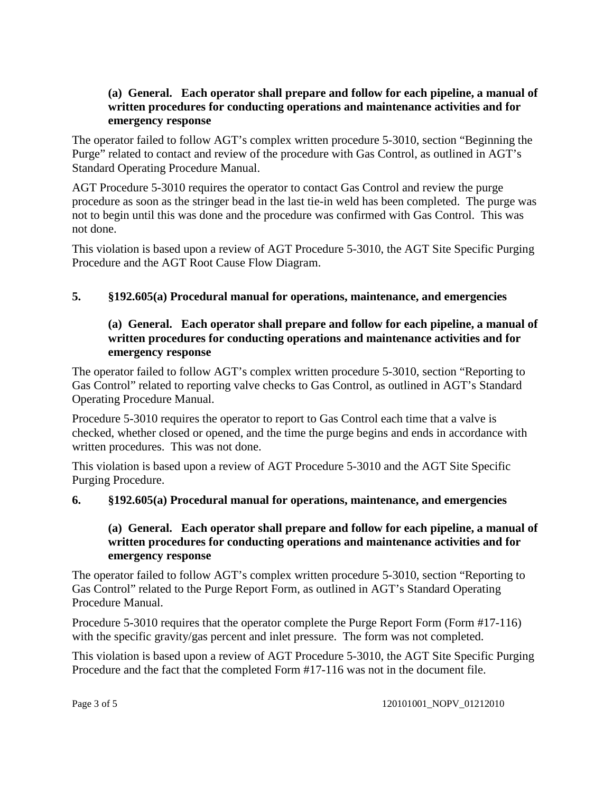### **(a) General. Each operator shall prepare and follow for each pipeline, a manual of written procedures for conducting operations and maintenance activities and for emergency response**

The operator failed to follow AGT's complex written procedure 5-3010, section "Beginning the Purge" related to contact and review of the procedure with Gas Control, as outlined in AGT's Standard Operating Procedure Manual.

AGT Procedure 5-3010 requires the operator to contact Gas Control and review the purge procedure as soon as the stringer bead in the last tie-in weld has been completed. The purge was not to begin until this was done and the procedure was confirmed with Gas Control. This was not done.

This violation is based upon a review of AGT Procedure 5-3010, the AGT Site Specific Purging Procedure and the AGT Root Cause Flow Diagram.

### **5. §192.605(a) Procedural manual for operations, maintenance, and emergencies**

## **(a) General. Each operator shall prepare and follow for each pipeline, a manual of written procedures for conducting operations and maintenance activities and for emergency response**

The operator failed to follow AGT's complex written procedure 5-3010, section "Reporting to Gas Control" related to reporting valve checks to Gas Control, as outlined in AGT's Standard Operating Procedure Manual.

Procedure 5-3010 requires the operator to report to Gas Control each time that a valve is checked, whether closed or opened, and the time the purge begins and ends in accordance with written procedures. This was not done.

This violation is based upon a review of AGT Procedure 5-3010 and the AGT Site Specific Purging Procedure.

### **6. §192.605(a) Procedural manual for operations, maintenance, and emergencies**

### **(a) General. Each operator shall prepare and follow for each pipeline, a manual of written procedures for conducting operations and maintenance activities and for emergency response**

The operator failed to follow AGT's complex written procedure 5-3010, section "Reporting to Gas Control" related to the Purge Report Form, as outlined in AGT's Standard Operating Procedure Manual.

Procedure 5-3010 requires that the operator complete the Purge Report Form (Form #17-116) with the specific gravity/gas percent and inlet pressure. The form was not completed.

This violation is based upon a review of AGT Procedure 5-3010, the AGT Site Specific Purging Procedure and the fact that the completed Form #17-116 was not in the document file.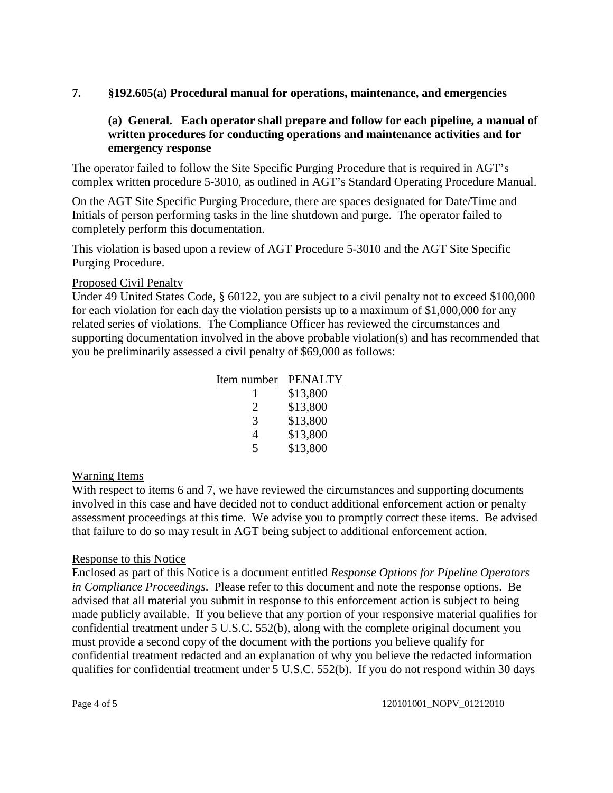### **7. §192.605(a) Procedural manual for operations, maintenance, and emergencies**

## **(a) General. Each operator shall prepare and follow for each pipeline, a manual of written procedures for conducting operations and maintenance activities and for emergency response**

The operator failed to follow the Site Specific Purging Procedure that is required in AGT's complex written procedure 5-3010, as outlined in AGT's Standard Operating Procedure Manual.

On the AGT Site Specific Purging Procedure, there are spaces designated for Date/Time and Initials of person performing tasks in the line shutdown and purge. The operator failed to completely perform this documentation.

This violation is based upon a review of AGT Procedure 5-3010 and the AGT Site Specific Purging Procedure.

#### Proposed Civil Penalty

Under 49 United States Code, § 60122, you are subject to a civil penalty not to exceed \$100,000 for each violation for each day the violation persists up to a maximum of \$1,000,000 for any related series of violations. The Compliance Officer has reviewed the circumstances and supporting documentation involved in the above probable violation(s) and has recommended that you be preliminarily assessed a civil penalty of \$69,000 as follows:

| Item number | <b>PENALTY</b> |
|-------------|----------------|
|             | \$13,800       |
| 2           | \$13,800       |
| 3           | \$13,800       |
| 4           | \$13,800       |
| 5           | \$13,800       |

### Warning Items

With respect to items 6 and 7, we have reviewed the circumstances and supporting documents involved in this case and have decided not to conduct additional enforcement action or penalty assessment proceedings at this time. We advise you to promptly correct these items. Be advised that failure to do so may result in AGT being subject to additional enforcement action.

#### Response to this Notice

Enclosed as part of this Notice is a document entitled *Response Options for Pipeline Operators in Compliance Proceedings*. Please refer to this document and note the response options. Be advised that all material you submit in response to this enforcement action is subject to being made publicly available. If you believe that any portion of your responsive material qualifies for confidential treatment under 5 U.S.C. 552(b), along with the complete original document you must provide a second copy of the document with the portions you believe qualify for confidential treatment redacted and an explanation of why you believe the redacted information qualifies for confidential treatment under 5 U.S.C. 552(b). If you do not respond within 30 days